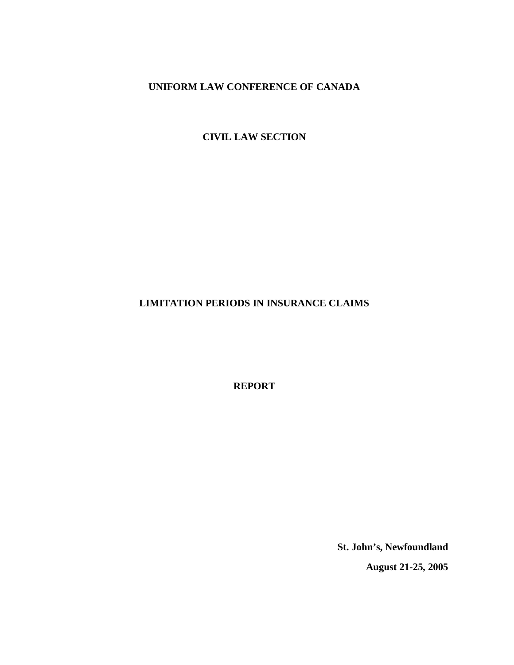**CIVIL LAW SECTION**

# **LIMITATION PERIODS IN INSURANCE CLAIMS**

**REPORT**

**St. John's, Newfoundland**

**August 21-25, 2005**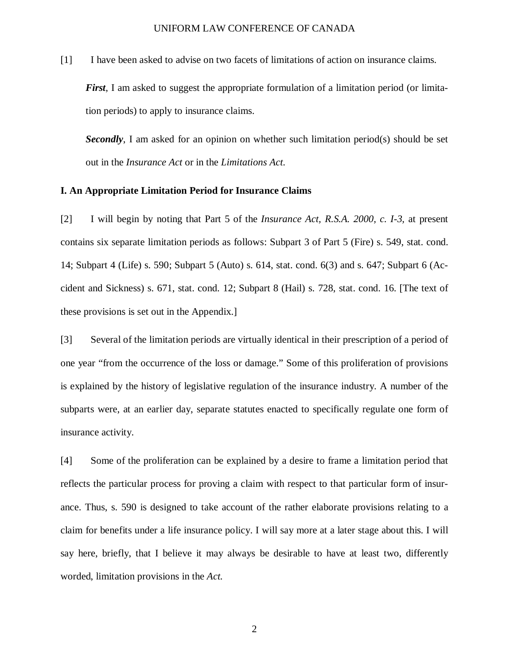[1] I have been asked to advise on two facets of limitations of action on insurance claims.

*First*, I am asked to suggest the appropriate formulation of a limitation period (or limitation periods) to apply to insurance claims.

**Secondly**, I am asked for an opinion on whether such limitation period(s) should be set out in the *Insurance Act* or in the *Limitations Act*.

### **I. An Appropriate Limitation Period for Insurance Claims**

[2] I will begin by noting that Part 5 of the *Insurance Act, R.S.A. 2000, c. I-3,* at present contains six separate limitation periods as follows: Subpart 3 of Part 5 (Fire) s. 549, stat. cond. 14; Subpart 4 (Life) s. 590; Subpart 5 (Auto) s. 614, stat. cond. 6(3) and s. 647; Subpart 6 (Accident and Sickness) s. 671, stat. cond. 12; Subpart 8 (Hail) s. 728, stat. cond. 16. [The text of these provisions is set out in the Appendix.]

[3] Several of the limitation periods are virtually identical in their prescription of a period of one year "from the occurrence of the loss or damage." Some of this proliferation of provisions is explained by the history of legislative regulation of the insurance industry. A number of the subparts were, at an earlier day, separate statutes enacted to specifically regulate one form of insurance activity.

[4] Some of the proliferation can be explained by a desire to frame a limitation period that reflects the particular process for proving a claim with respect to that particular form of insurance. Thus, s. 590 is designed to take account of the rather elaborate provisions relating to a claim for benefits under a life insurance policy. I will say more at a later stage about this. I will say here, briefly, that I believe it may always be desirable to have at least two, differently worded, limitation provisions in the *Act.*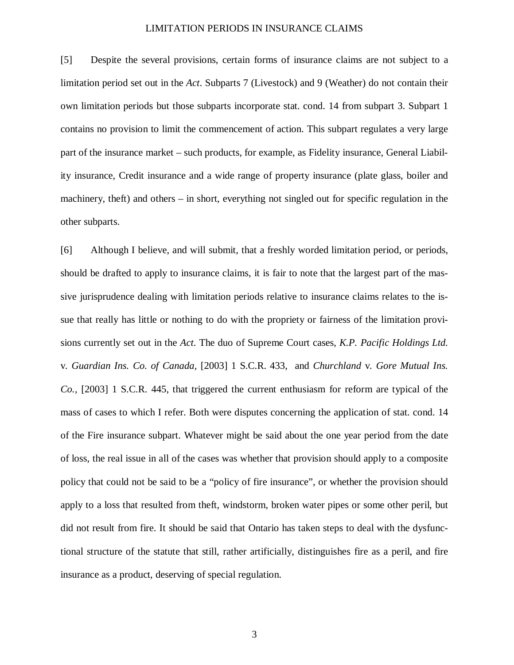[5] Despite the several provisions, certain forms of insurance claims are not subject to a limitation period set out in the *Act*. Subparts 7 (Livestock) and 9 (Weather) do not contain their own limitation periods but those subparts incorporate stat. cond. 14 from subpart 3. Subpart 1 contains no provision to limit the commencement of action. This subpart regulates a very large part of the insurance market – such products, for example, as Fidelity insurance, General Liability insurance, Credit insurance and a wide range of property insurance (plate glass, boiler and machinery, theft) and others – in short, everything not singled out for specific regulation in the other subparts.

[6] Although I believe, and will submit, that a freshly worded limitation period, or periods, should be drafted to apply to insurance claims, it is fair to note that the largest part of the massive jurisprudence dealing with limitation periods relative to insurance claims relates to the issue that really has little or nothing to do with the propriety or fairness of the limitation provisions currently set out in the *Act*. The duo of Supreme Court cases, *K.P. Pacific Holdings Ltd.* v*. Guardian Ins. Co. of Canada*, [2003] 1 S.C.R. 433, and *Churchland* v*. Gore Mutual Ins. Co.,* [2003] 1 S.C.R. 445, that triggered the current enthusiasm for reform are typical of the mass of cases to which I refer. Both were disputes concerning the application of stat. cond. 14 of the Fire insurance subpart. Whatever might be said about the one year period from the date of loss, the real issue in all of the cases was whether that provision should apply to a composite policy that could not be said to be a "policy of fire insurance", or whether the provision should apply to a loss that resulted from theft, windstorm, broken water pipes or some other peril, but did not result from fire. It should be said that Ontario has taken steps to deal with the dysfunctional structure of the statute that still, rather artificially, distinguishes fire as a peril, and fire insurance as a product, deserving of special regulation.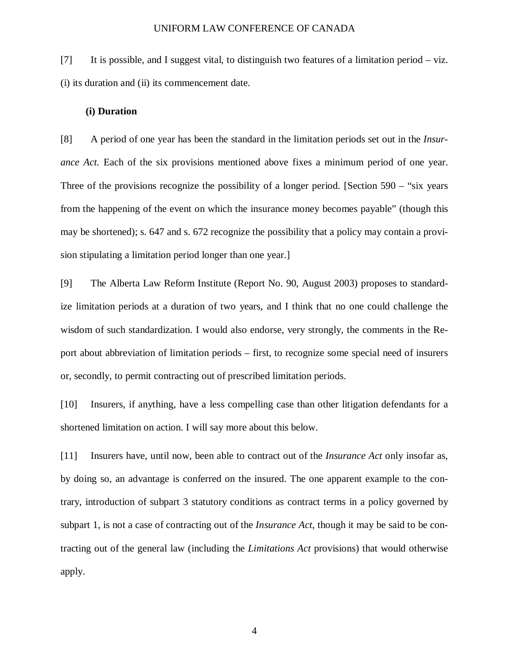[7] It is possible, and I suggest vital, to distinguish two features of a limitation period – viz. (i) its duration and (ii) its commencement date.

### **(i) Duration**

[8] A period of one year has been the standard in the limitation periods set out in the *Insurance Act.* Each of the six provisions mentioned above fixes a minimum period of one year. Three of the provisions recognize the possibility of a longer period. [Section 590 – "six years" from the happening of the event on which the insurance money becomes payable" (though this may be shortened); s. 647 and s. 672 recognize the possibility that a policy may contain a provision stipulating a limitation period longer than one year.]

[9] The Alberta Law Reform Institute (Report No. 90, August 2003) proposes to standardize limitation periods at a duration of two years, and I think that no one could challenge the wisdom of such standardization. I would also endorse, very strongly, the comments in the Report about abbreviation of limitation periods – first, to recognize some special need of insurers or, secondly, to permit contracting out of prescribed limitation periods.

[10] Insurers, if anything, have a less compelling case than other litigation defendants for a shortened limitation on action. I will say more about this below.

[11] Insurers have, until now, been able to contract out of the *Insurance Act* only insofar as, by doing so, an advantage is conferred on the insured. The one apparent example to the contrary, introduction of subpart 3 statutory conditions as contract terms in a policy governed by subpart 1, is not a case of contracting out of the *Insurance Act*, though it may be said to be contracting out of the general law (including the *Limitations Act* provisions) that would otherwise apply.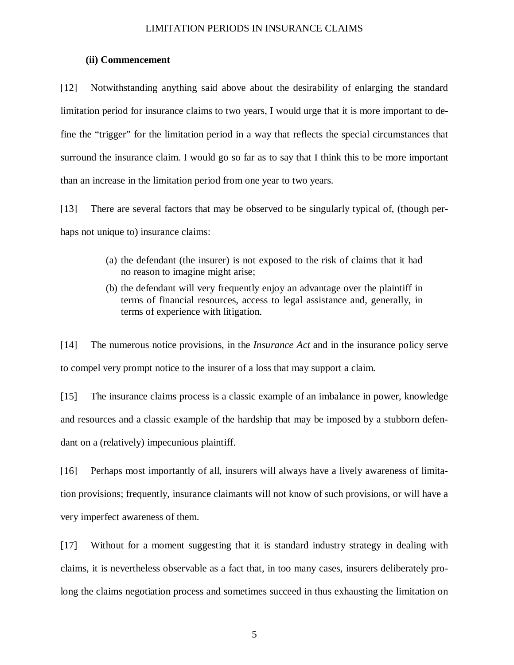# **(ii) Commencement**

[12] Notwithstanding anything said above about the desirability of enlarging the standard limitation period for insurance claims to two years, I would urge that it is more important to define the "trigger" for the limitation period in a way that reflects the special circumstances that surround the insurance claim. I would go so far as to say that I think this to be more important than an increase in the limitation period from one year to two years.

[13] There are several factors that may be observed to be singularly typical of, (though perhaps not unique to) insurance claims:

- (a) the defendant (the insurer) is not exposed to the risk of claims that it had no reason to imagine might arise;
- (b) the defendant will very frequently enjoy an advantage over the plaintiff in terms of financial resources, access to legal assistance and, generally, in terms of experience with litigation.

[14] The numerous notice provisions, in the *Insurance Act* and in the insurance policy serve to compel very prompt notice to the insurer of a loss that may support a claim.

[15] The insurance claims process is a classic example of an imbalance in power, knowledge and resources and a classic example of the hardship that may be imposed by a stubborn defendant on a (relatively) impecunious plaintiff.

[16] Perhaps most importantly of all, insurers will always have a lively awareness of limitation provisions; frequently, insurance claimants will not know of such provisions, or will have a very imperfect awareness of them.

[17] Without for a moment suggesting that it is standard industry strategy in dealing with claims, it is nevertheless observable as a fact that, in too many cases, insurers deliberately prolong the claims negotiation process and sometimes succeed in thus exhausting the limitation on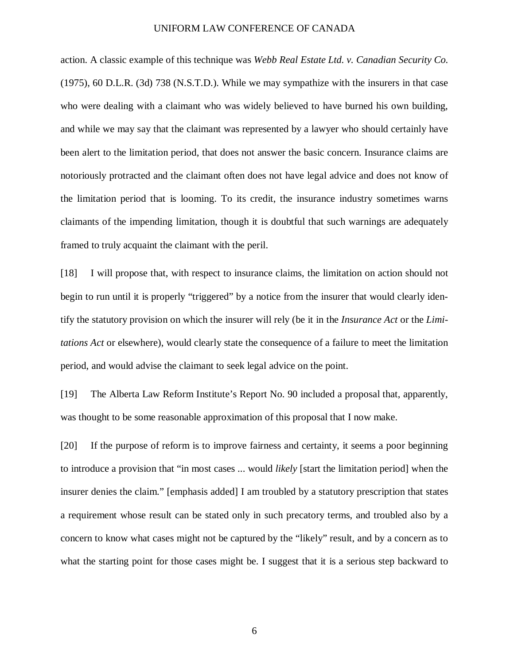action. A classic example of this technique was *Webb Real Estate Ltd. v. Canadian Security Co.* (1975), 60 D.L.R. (3d) 738 (N.S.T.D.). While we may sympathize with the insurers in that case who were dealing with a claimant who was widely believed to have burned his own building, and while we may say that the claimant was represented by a lawyer who should certainly have been alert to the limitation period, that does not answer the basic concern. Insurance claims are notoriously protracted and the claimant often does not have legal advice and does not know of the limitation period that is looming. To its credit, the insurance industry sometimes warns claimants of the impending limitation, though it is doubtful that such warnings are adequately framed to truly acquaint the claimant with the peril.

[18] I will propose that, with respect to insurance claims, the limitation on action should not begin to run until it is properly "triggered" by a notice from the insurer that would clearly identify the statutory provision on which the insurer will rely (be it in the *Insurance Act* or the *Limitations Act* or elsewhere), would clearly state the consequence of a failure to meet the limitation period, and would advise the claimant to seek legal advice on the point.

[19] The Alberta Law Reform Institute's Report No. 90 included a proposal that, apparently, was thought to be some reasonable approximation of this proposal that I now make.

[20] If the purpose of reform is to improve fairness and certainty, it seems a poor beginning to introduce a provision that "in most cases ... would *likely* [start the limitation period] when the insurer denies the claim." [emphasis added] I am troubled by a statutory prescription that states a requirement whose result can be stated only in such precatory terms, and troubled also by a concern to know what cases might not be captured by the "likely" result, and by a concern as to what the starting point for those cases might be. I suggest that it is a serious step backward to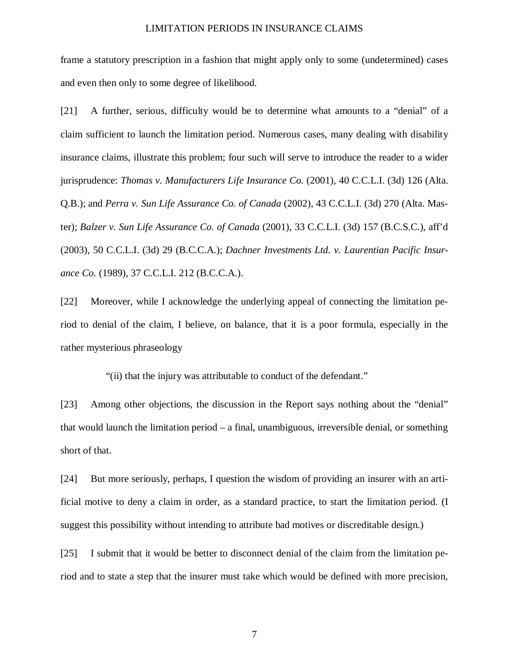frame a statutory prescription in a fashion that might apply only to some (undetermined) cases and even then only to some degree of likelihood.

[21] A further, serious, difficulty would be to determine what amounts to a "denial" of a claim sufficient to launch the limitation period. Numerous cases, many dealing with disability insurance claims, illustrate this problem; four such will serve to introduce the reader to a wider jurisprudence: *Thomas v. Manufacturers Life Insurance Co.* (2001), 40 C.C.L.I. (3d) 126 (Alta. Q.B.); and *Perra v. Sun Life Assurance Co. of Canada* (2002), 43 C.C.L.I. (3d) 270 (Alta. Master); *Balzer v. Sun Life Assurance Co. of Canada* (2001), 33 C.C.L.I. (3d) 157 (B.C.S.C.), aff'd (2003), 50 C.C.L.I. (3d) 29 (B.C.C.A.); *Dachner Investments Ltd. v. Laurentian Pacific Insurance Co.* (1989), 37 C.C.L.I. 212 (B.C.C.A.).

[22] Moreover, while I acknowledge the underlying appeal of connecting the limitation period to denial of the claim, I believe, on balance, that it is a poor formula, especially in the rather mysterious phraseology

"(ii) that the injury was attributable to conduct of the defendant."

[23] Among other objections, the discussion in the Report says nothing about the "denial" that would launch the limitation period – a final, unambiguous, irreversible denial, or something short of that.

[24] But more seriously, perhaps, I question the wisdom of providing an insurer with an artificial motive to deny a claim in order, as a standard practice, to start the limitation period. (I suggest this possibility without intending to attribute bad motives or discreditable design.)

[25] I submit that it would be better to disconnect denial of the claim from the limitation period and to state a step that the insurer must take which would be defined with more precision,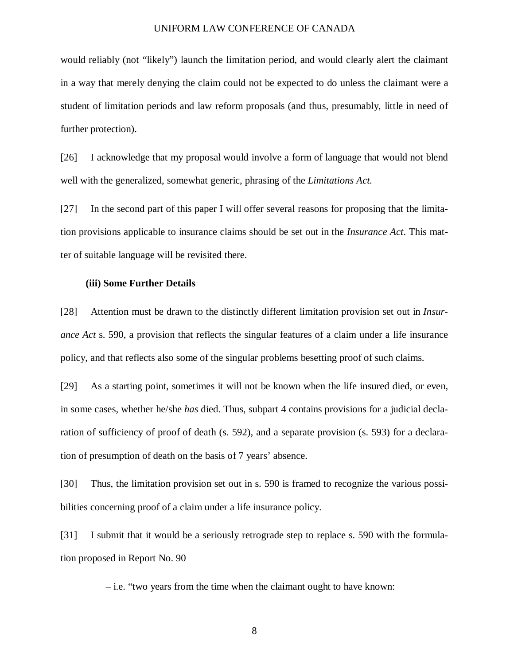would reliably (not "likely") launch the limitation period, and would clearly alert the claimant in a way that merely denying the claim could not be expected to do unless the claimant were a student of limitation periods and law reform proposals (and thus, presumably, little in need of further protection).

[26] I acknowledge that my proposal would involve a form of language that would not blend well with the generalized, somewhat generic, phrasing of the *Limitations Act.*

[27] In the second part of this paper I will offer several reasons for proposing that the limitation provisions applicable to insurance claims should be set out in the *Insurance Act*. This matter of suitable language will be revisited there.

#### **(iii) Some Further Details**

[28] Attention must be drawn to the distinctly different limitation provision set out in *Insurance Act* s. 590, a provision that reflects the singular features of a claim under a life insurance policy, and that reflects also some of the singular problems besetting proof of such claims.

[29] As a starting point, sometimes it will not be known when the life insured died, or even, in some cases, whether he/she *has* died. Thus, subpart 4 contains provisions for a judicial declaration of sufficiency of proof of death (s. 592), and a separate provision (s. 593) for a declaration of presumption of death on the basis of 7 years' absence.

[30] Thus, the limitation provision set out in s. 590 is framed to recognize the various possibilities concerning proof of a claim under a life insurance policy.

[31] I submit that it would be a seriously retrograde step to replace s. 590 with the formulation proposed in Report No. 90

– i.e. "two years from the time when the claimant ought to have known: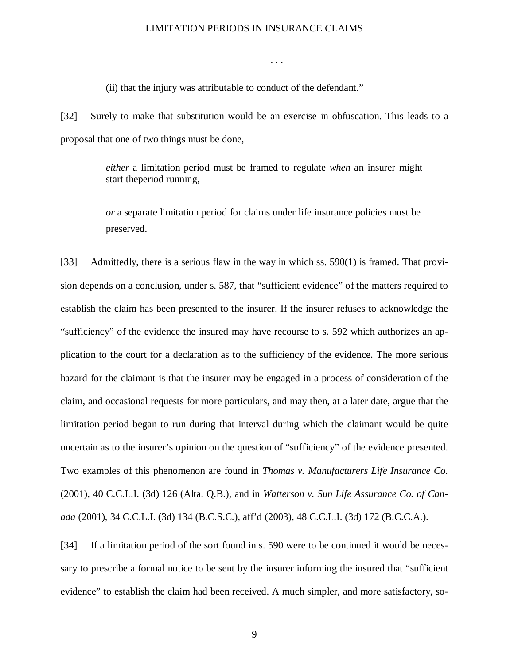. . .

(ii) that the injury was attributable to conduct of the defendant."

[32] Surely to make that substitution would be an exercise in obfuscation. This leads to a proposal that one of two things must be done,

> *either* a limitation period must be framed to regulate *when* an insurer might start theperiod running,

> *or* a separate limitation period for claims under life insurance policies must be preserved.

[33] Admittedly, there is a serious flaw in the way in which ss. 590(1) is framed. That provision depends on a conclusion, under s. 587, that "sufficient evidence" of the matters required to establish the claim has been presented to the insurer. If the insurer refuses to acknowledge the "sufficiency" of the evidence the insured may have recourse to s. 592 which authorizes an application to the court for a declaration as to the sufficiency of the evidence. The more serious hazard for the claimant is that the insurer may be engaged in a process of consideration of the claim, and occasional requests for more particulars, and may then, at a later date, argue that the limitation period began to run during that interval during which the claimant would be quite uncertain as to the insurer's opinion on the question of "sufficiency" of the evidence presented. Two examples of this phenomenon are found in *Thomas v. Manufacturers Life Insurance Co.* (2001), 40 C.C.L.I. (3d) 126 (Alta. Q.B.), and in *Watterson v. Sun Life Assurance Co. of Canada* (2001), 34 C.C.L.I. (3d) 134 (B.C.S.C.), aff'd (2003), 48 C.C.L.I. (3d) 172 (B.C.C.A.).

[34] If a limitation period of the sort found in s. 590 were to be continued it would be necessary to prescribe a formal notice to be sent by the insurer informing the insured that "sufficient evidence" to establish the claim had been received. A much simpler, and more satisfactory, so-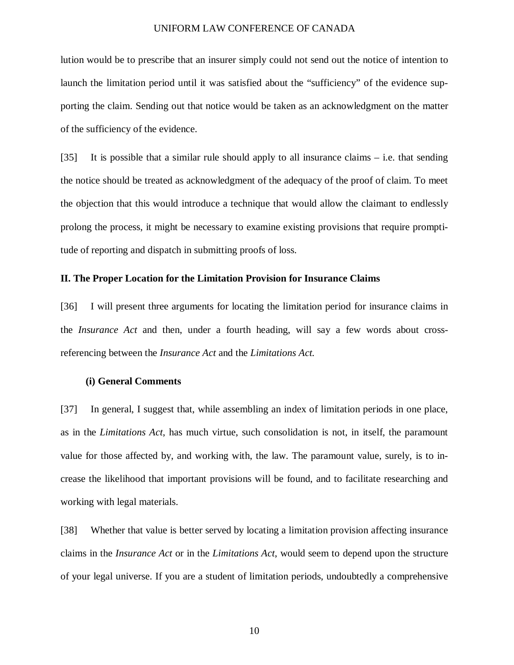lution would be to prescribe that an insurer simply could not send out the notice of intention to launch the limitation period until it was satisfied about the "sufficiency" of the evidence supporting the claim. Sending out that notice would be taken as an acknowledgment on the matter of the sufficiency of the evidence.

[35] It is possible that a similar rule should apply to all insurance claims – i.e. that sending the notice should be treated as acknowledgment of the adequacy of the proof of claim. To meet the objection that this would introduce a technique that would allow the claimant to endlessly prolong the process, it might be necessary to examine existing provisions that require promptitude of reporting and dispatch in submitting proofs of loss.

#### **II. The Proper Location for the Limitation Provision for Insurance Claims**

[36] I will present three arguments for locating the limitation period for insurance claims in the *Insurance Act* and then, under a fourth heading, will say a few words about crossreferencing between the *Insurance Act* and the *Limitations Act.*

### **(i) General Comments**

[37] In general, I suggest that, while assembling an index of limitation periods in one place, as in the *Limitations Act*, has much virtue, such consolidation is not, in itself, the paramount value for those affected by, and working with, the law. The paramount value, surely, is to increase the likelihood that important provisions will be found, and to facilitate researching and working with legal materials.

[38] Whether that value is better served by locating a limitation provision affecting insurance claims in the *Insurance Act* or in the *Limitations Act*, would seem to depend upon the structure of your legal universe. If you are a student of limitation periods, undoubtedly a comprehensive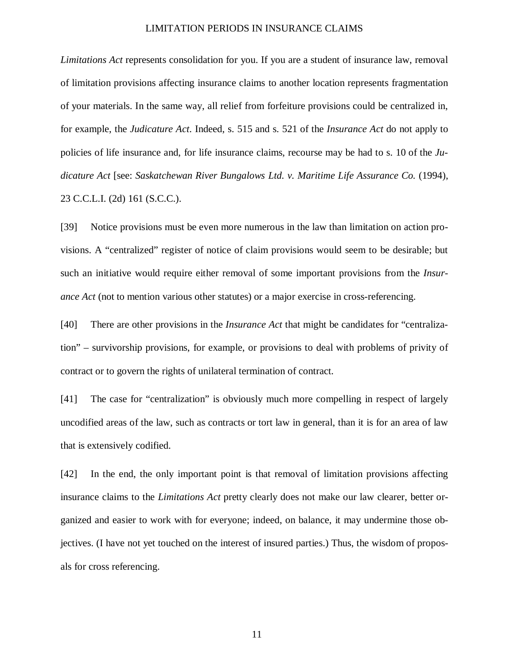*Limitations Act* represents consolidation for you. If you are a student of insurance law, removal of limitation provisions affecting insurance claims to another location represents fragmentation of your materials. In the same way, all relief from forfeiture provisions could be centralized in, for example, the *Judicature Act*. Indeed, s. 515 and s. 521 of the *Insurance Act* do not apply to policies of life insurance and, for life insurance claims, recourse may be had to s. 10 of the *Judicature Act* [see: *Saskatchewan River Bungalows Ltd. v. Maritime Life Assurance Co.* (1994), 23 C.C.L.I. (2d) 161 (S.C.C.).

[39] Notice provisions must be even more numerous in the law than limitation on action provisions. A "centralized" register of notice of claim provisions would seem to be desirable; but such an initiative would require either removal of some important provisions from the *Insurance Act* (not to mention various other statutes) or a major exercise in cross-referencing.

[40] There are other provisions in the *Insurance Act* that might be candidates for "centralization" – survivorship provisions, for example, or provisions to deal with problems of privity of contract or to govern the rights of unilateral termination of contract.

[41] The case for "centralization" is obviously much more compelling in respect of largely uncodified areas of the law, such as contracts or tort law in general, than it is for an area of law that is extensively codified.

[42] In the end, the only important point is that removal of limitation provisions affecting insurance claims to the *Limitations Act* pretty clearly does not make our law clearer, better organized and easier to work with for everyone; indeed, on balance, it may undermine those objectives. (I have not yet touched on the interest of insured parties.) Thus, the wisdom of proposals for cross referencing.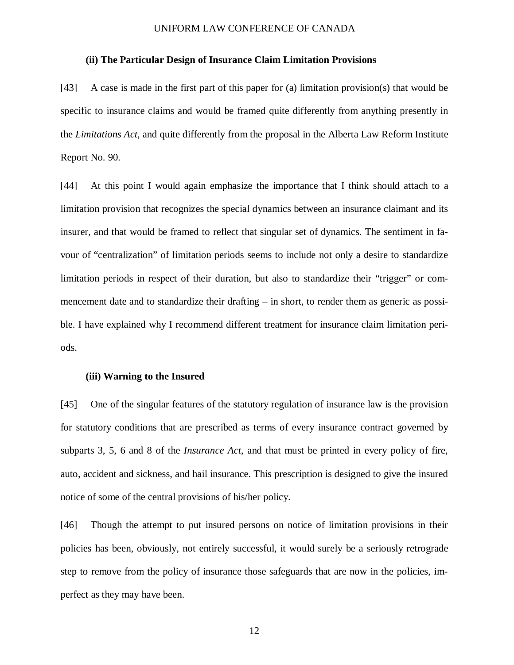# **(ii) The Particular Design of Insurance Claim Limitation Provisions**

[43] A case is made in the first part of this paper for (a) limitation provision(s) that would be specific to insurance claims and would be framed quite differently from anything presently in the *Limitations Act*, and quite differently from the proposal in the Alberta Law Reform Institute Report No. 90.

[44] At this point I would again emphasize the importance that I think should attach to a limitation provision that recognizes the special dynamics between an insurance claimant and its insurer, and that would be framed to reflect that singular set of dynamics. The sentiment in favour of "centralization" of limitation periods seems to include not only a desire to standardize limitation periods in respect of their duration, but also to standardize their "trigger" or commencement date and to standardize their drafting – in short, to render them as generic as possible. I have explained why I recommend different treatment for insurance claim limitation periods.

# **(iii) Warning to the Insured**

[45] One of the singular features of the statutory regulation of insurance law is the provision for statutory conditions that are prescribed as terms of every insurance contract governed by subparts 3, 5, 6 and 8 of the *Insurance Act*, and that must be printed in every policy of fire, auto, accident and sickness, and hail insurance. This prescription is designed to give the insured notice of some of the central provisions of his/her policy.

[46] Though the attempt to put insured persons on notice of limitation provisions in their policies has been, obviously, not entirely successful, it would surely be a seriously retrograde step to remove from the policy of insurance those safeguards that are now in the policies, imperfect as they may have been.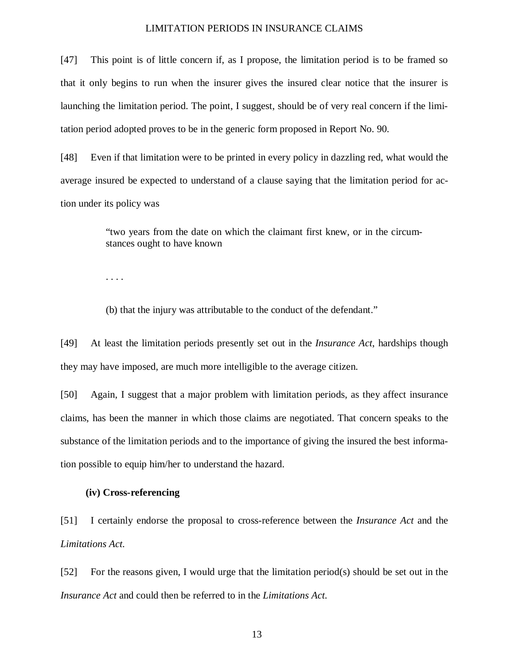[47] This point is of little concern if, as I propose, the limitation period is to be framed so that it only begins to run when the insurer gives the insured clear notice that the insurer is launching the limitation period. The point, I suggest, should be of very real concern if the limitation period adopted proves to be in the generic form proposed in Report No. 90.

[48] Even if that limitation were to be printed in every policy in dazzling red, what would the average insured be expected to understand of a clause saying that the limitation period for action under its policy was

> "two years from the date on which the claimant first knew, or in the circumstances ought to have known

. . . .

(b) that the injury was attributable to the conduct of the defendant."

[49] At least the limitation periods presently set out in the *Insurance Act*, hardships though they may have imposed, are much more intelligible to the average citizen.

[50] Again, I suggest that a major problem with limitation periods, as they affect insurance claims, has been the manner in which those claims are negotiated. That concern speaks to the substance of the limitation periods and to the importance of giving the insured the best information possible to equip him/her to understand the hazard.

# **(iv) Cross-referencing**

[51] I certainly endorse the proposal to cross-reference between the *Insurance Act* and the *Limitations Act*.

[52] For the reasons given, I would urge that the limitation period(s) should be set out in the *Insurance Act* and could then be referred to in the *Limitations Act*.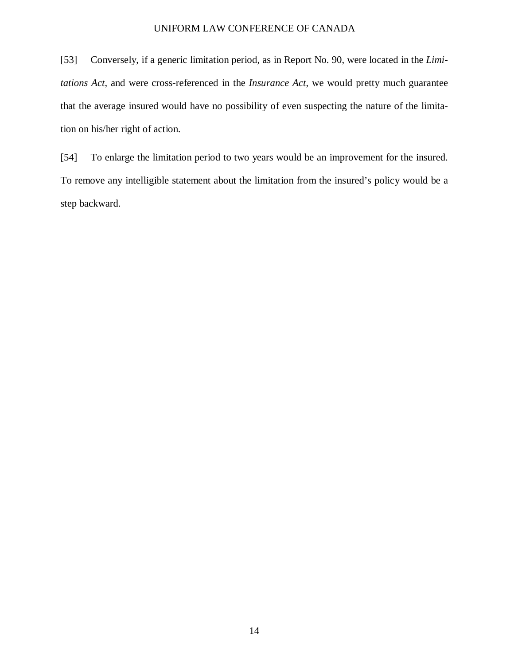[53] Conversely, if a generic limitation period, as in Report No. 90, were located in the *Limitations Act*, and were cross-referenced in the *Insurance Act*, we would pretty much guarantee that the average insured would have no possibility of even suspecting the nature of the limitation on his/her right of action.

[54] To enlarge the limitation period to two years would be an improvement for the insured. To remove any intelligible statement about the limitation from the insured's policy would be a step backward.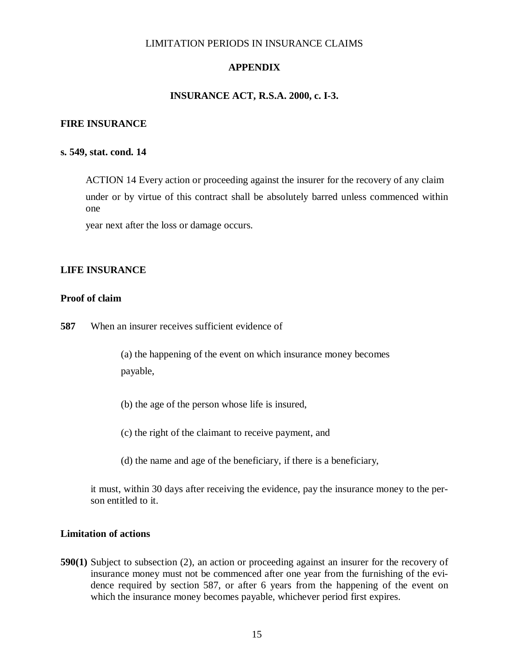# **APPENDIX**

# **INSURANCE ACT, R.S.A. 2000, c. I-3.**

### **FIRE INSURANCE**

### **s. 549, stat. cond. 14**

ACTION 14 Every action or proceeding against the insurer for the recovery of any claim under or by virtue of this contract shall be absolutely barred unless commenced within one

year next after the loss or damage occurs.

# **LIFE INSURANCE**

# **Proof of claim**

**587** When an insurer receives sufficient evidence of

(a) the happening of the event on which insurance money becomes payable,

- (b) the age of the person whose life is insured,
- (c) the right of the claimant to receive payment, and
- (d) the name and age of the beneficiary, if there is a beneficiary,

it must, within 30 days after receiving the evidence, pay the insurance money to the person entitled to it.

# **Limitation of actions**

**590(1)** Subject to subsection (2), an action or proceeding against an insurer for the recovery of insurance money must not be commenced after one year from the furnishing of the evidence required by section 587, or after 6 years from the happening of the event on which the insurance money becomes payable, whichever period first expires.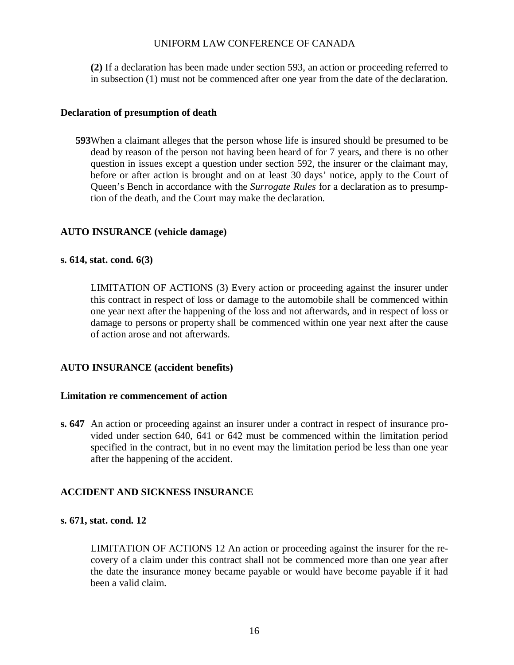**(2)** If a declaration has been made under section 593, an action or proceeding referred to in subsection (1) must not be commenced after one year from the date of the declaration.

# **Declaration of presumption of death**

**593**When a claimant alleges that the person whose life is insured should be presumed to be dead by reason of the person not having been heard of for 7 years, and there is no other question in issues except a question under section 592, the insurer or the claimant may, before or after action is brought and on at least 30 days' notice, apply to the Court of Queen's Bench in accordance with the *Surrogate Rules* for a declaration as to presumption of the death, and the Court may make the declaration.

# **AUTO INSURANCE (vehicle damage)**

# **s. 614, stat. cond. 6(3)**

LIMITATION OF ACTIONS (3) Every action or proceeding against the insurer under this contract in respect of loss or damage to the automobile shall be commenced within one year next after the happening of the loss and not afterwards, and in respect of loss or damage to persons or property shall be commenced within one year next after the cause of action arose and not afterwards.

# **AUTO INSURANCE (accident benefits)**

# **Limitation re commencement of action**

**s. 647** An action or proceeding against an insurer under a contract in respect of insurance provided under section 640, 641 or 642 must be commenced within the limitation period specified in the contract, but in no event may the limitation period be less than one year after the happening of the accident.

# **ACCIDENT AND SICKNESS INSURANCE**

# **s. 671, stat. cond. 12**

LIMITATION OF ACTIONS 12 An action or proceeding against the insurer for the recovery of a claim under this contract shall not be commenced more than one year after the date the insurance money became payable or would have become payable if it had been a valid claim.